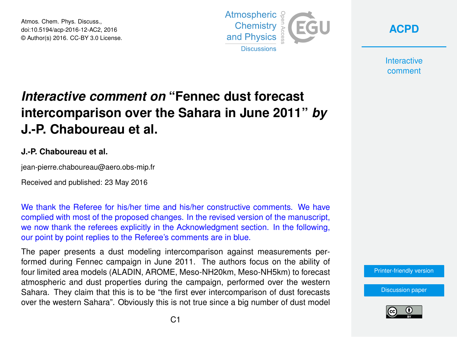Atmos. Chem. Phys. Discuss., doi:10.5194/acp-2016-12-AC2, 2016 © Author(s) 2016. CC-BY 3.0 License.



**[ACPD](http://www.atmos-chem-phys-discuss.net/)**

**Interactive** comment

## *Interactive comment on* **"Fennec dust forecast intercomparison over the Sahara in June 2011"** *by* **J.-P. Chaboureau et al.**

## **J.-P. Chaboureau et al.**

jean-pierre.chaboureau@aero.obs-mip.fr

Received and published: 23 May 2016

We thank the Referee for his/her time and his/her constructive comments. We have complied with most of the proposed changes. In the revised version of the manuscript, we now thank the referees explicitly in the Acknowledgment section. In the following, our point by point replies to the Referee's comments are in blue.

The paper presents a dust modeling intercomparison against measurements performed during Fennec campaign in June 2011. The authors focus on the ability of four limited area models (ALADIN, AROME, Meso-NH20km, Meso-NH5km) to forecast atmospheric and dust properties during the campaign, performed over the western Sahara. They claim that this is to be "the first ever intercomparison of dust forecasts over the western Sahara". Obviously this is not true since a big number of dust model

[Printer-friendly version](http://www.atmos-chem-phys-discuss.net/acp-2016-12/acp-2016-12-AC2-print.pdf)

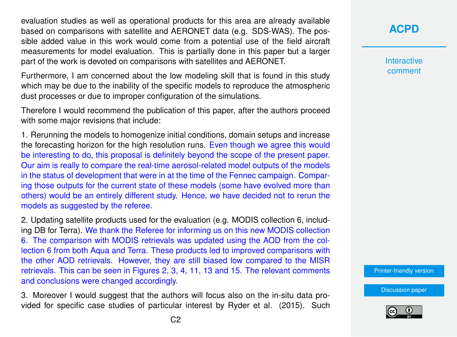evaluation studies as well as operational products for this area are already available based on comparisons with satellite and AERONET data (e.g. SDS-WAS). The possible added value in this work would come from a potential use of the field aircraft measurements for model evaluation. This is partially done in this paper but a larger part of the work is devoted on comparisons with satellites and AERONET.

Furthermore, I am concerned about the low modeling skill that is found in this study which may be due to the inability of the specific models to reproduce the atmospheric dust processes or due to improper configuration of the simulations.

Therefore I would recommend the publication of this paper, after the authors proceed with some major revisions that include:

1. Rerunning the models to homogenize initial conditions, domain setups and increase the forecasting horizon for the high resolution runs. Even though we agree this would be interesting to do, this proposal is definitely beyond the scope of the present paper. Our aim is really to compare the real-time aerosol-related model outputs of the models in the status of development that were in at the time of the Fennec campaign. Comparing those outputs for the current state of these models (some have evolved more than others) would be an entirely different study. Hence, we have decided not to rerun the models as suggested by the referee.

2. Updating satellite products used for the evaluation (e.g. MODIS collection 6, including DB for Terra). We thank the Referee for informing us on this new MODIS collection 6. The comparison with MODIS retrievals was updated using the AOD from the collection 6 from both Aqua and Terra. These products led to improved comparisons with the other AOD retrievals. However, they are still biased low compared to the MISR retrievals. This can be seen in Figures 2, 3, 4, 11, 13 and 15. The relevant comments and conclusions were changed accordingly.

3. Moreover I would suggest that the authors will focus also on the in-situ data provided for specific case studies of particular interest by Ryder et al. (2015). Such **Interactive** comment

[Printer-friendly version](http://www.atmos-chem-phys-discuss.net/acp-2016-12/acp-2016-12-AC2-print.pdf)

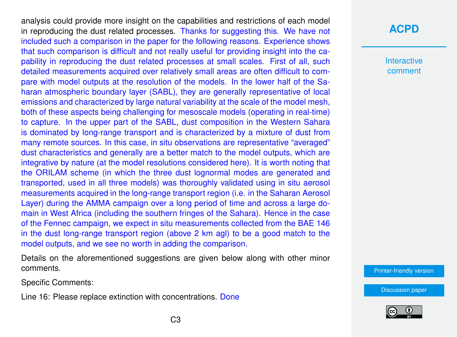analysis could provide more insight on the capabilities and restrictions of each model in reproducing the dust related processes. Thanks for suggesting this. We have not included such a comparison in the paper for the following reasons. Experience shows that such comparison is difficult and not really useful for providing insight into the capability in reproducing the dust related processes at small scales. First of all, such detailed measurements acquired over relatively small areas are often difficult to compare with model outputs at the resolution of the models. In the lower half of the Saharan atmospheric boundary layer (SABL), they are generally representative of local emissions and characterized by large natural variability at the scale of the model mesh, both of these aspects being challenging for mesoscale models (operating in real-time) to capture. In the upper part of the SABL, dust composition in the Western Sahara is dominated by long-range transport and is characterized by a mixture of dust from many remote sources. In this case, in situ observations are representative "averaged" dust characteristics and generally are a better match to the model outputs, which are integrative by nature (at the model resolutions considered here). It is worth noting that the ORILAM scheme (in which the three dust lognormal modes are generated and transported, used in all three models) was thoroughly validated using in situ aerosol measurements acquired in the long-range transport region (i.e. in the Saharan Aerosol Layer) during the AMMA campaign over a long period of time and across a large domain in West Africa (including the southern fringes of the Sahara). Hence in the case of the Fennec campaign, we expect in situ measurements collected from the BAE 146 in the dust long-range transport region (above 2 km agl) to be a good match to the model outputs, and we see no worth in adding the comparison.

Details on the aforementioned suggestions are given below along with other minor comments.

Specific Comments:

Line 16: Please replace extinction with concentrations. Done

## **[ACPD](http://www.atmos-chem-phys-discuss.net/)**

**Interactive** comment

[Printer-friendly version](http://www.atmos-chem-phys-discuss.net/acp-2016-12/acp-2016-12-AC2-print.pdf)

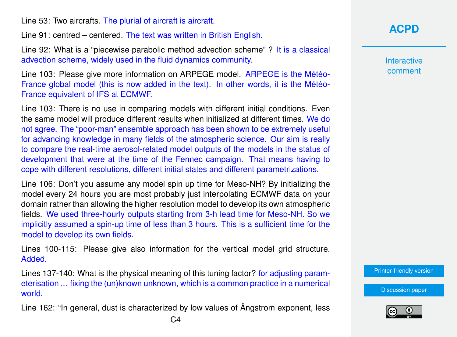Line 53: Two aircrafts. The plurial of aircraft is aircraft.

Line 91: centred – centered. The text was written in British English.

Line 92: What is a "piecewise parabolic method advection scheme" ? It is a classical advection scheme, widely used in the fluid dynamics community.

Line 103: Please give more information on ARPEGE model. ARPEGE is the Météo-France global model (this is now added in the text). In other words, it is the Météo-France equivalent of IFS at ECMWF.

Line 103: There is no use in comparing models with different initial conditions. Even the same model will produce different results when initialized at different times. We do not agree. The "poor-man" ensemble approach has been shown to be extremely useful for advancing knowledge in many fields of the atmospheric science. Our aim is really to compare the real-time aerosol-related model outputs of the models in the status of development that were at the time of the Fennec campaign. That means having to cope with different resolutions, different initial states and different parametrizations.

Line 106: Don't you assume any model spin up time for Meso-NH? By initializing the model every 24 hours you are most probably just interpolating ECMWF data on your domain rather than allowing the higher resolution model to develop its own atmospheric fields. We used three-hourly outputs starting from 3-h lead time for Meso-NH. So we implicitly assumed a spin-up time of less than 3 hours. This is a sufficient time for the model to develop its own fields.

Lines 100-115: Please give also information for the vertical model grid structure. Added.

Lines 137-140: What is the physical meaning of this tuning factor? for adjusting parameterisation ... fixing the (un)known unknown, which is a common practice in a numerical world.

Line 162: "In general, dust is characterized by low values of Ångstrom exponent, less

**Interactive** comment

[Printer-friendly version](http://www.atmos-chem-phys-discuss.net/acp-2016-12/acp-2016-12-AC2-print.pdf)

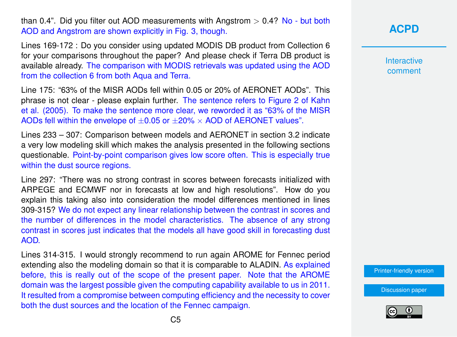than 0.4". Did you filter out AOD measurements with Angstrom  $> 0.4$ ? No - but both AOD and Angstrom are shown explicitly in Fig. 3, though.

Lines 169-172 : Do you consider using updated MODIS DB product from Collection 6 for your comparisons throughout the paper? And please check if Terra DB product is available already. The comparison with MODIS retrievals was updated using the AOD from the collection 6 from both Aqua and Terra.

Line 175: "63% of the MISR AODs fell within 0.05 or 20% of AERONET AODs". This phrase is not clear - please explain further. The sentence refers to Figure 2 of Kahn et al. (2005). To make the sentence more clear, we reworded it as "63% of the MISR AODs fell within the envelope of  $\pm 0.05$  or  $\pm 20\% \times$  AOD of AERONET values".

Lines 233 – 307: Comparison between models and AERONET in section 3.2 indicate a very low modeling skill which makes the analysis presented in the following sections questionable. Point-by-point comparison gives low score often. This is especially true within the dust source regions.

Line 297: "There was no strong contrast in scores between forecasts initialized with ARPEGE and ECMWF nor in forecasts at low and high resolutions". How do you explain this taking also into consideration the model differences mentioned in lines 309-315? We do not expect any linear relationship between the contrast in scores and the number of differences in the model characteristics. The absence of any strong contrast in scores just indicates that the models all have good skill in forecasting dust AOD.

Lines 314-315. I would strongly recommend to run again AROME for Fennec period extending also the modeling domain so that it is comparable to ALADIN. As explained before, this is really out of the scope of the present paper. Note that the AROME domain was the largest possible given the computing capability available to us in 2011. It resulted from a compromise between computing efficiency and the necessity to cover both the dust sources and the location of the Fennec campaign.

## **[ACPD](http://www.atmos-chem-phys-discuss.net/)**

**Interactive** comment

[Printer-friendly version](http://www.atmos-chem-phys-discuss.net/acp-2016-12/acp-2016-12-AC2-print.pdf)

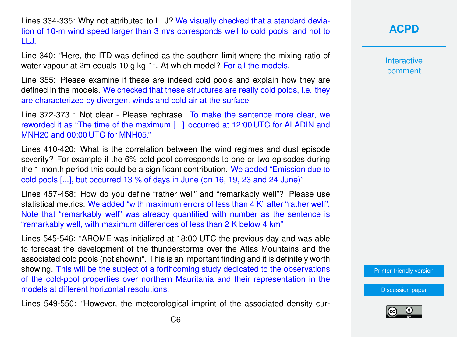Lines 334-335: Why not attributed to LLJ? We visually checked that a standard deviation of 10-m wind speed larger than 3 m/s corresponds well to cold pools, and not to LLJ.

Line 340: "Here, the ITD was defined as the southern limit where the mixing ratio of water vapour at 2m equals 10 g kg-1". At which model? For all the models.

Line 355: Please examine if these are indeed cold pools and explain how they are defined in the models. We checked that these structures are really cold polds, i.e. they are characterized by divergent winds and cold air at the surface.

Line 372-373 : Not clear - Please rephrase. To make the sentence more clear, we reworded it as "The time of the maximum [...] occurred at 12:00 UTC for ALADIN and MNH20 and 00:00 UTC for MNH05."

Lines 410-420: What is the correlation between the wind regimes and dust episode severity? For example if the 6% cold pool corresponds to one or two episodes during the 1 month period this could be a significant contribution. We added "Emission due to cold pools [...], but occurred 13 % of days in June (on 16, 19, 23 and 24 June)"

Lines 457-458: How do you define "rather well" and "remarkably well"? Please use statistical metrics. We added "with maximum errors of less than 4 K" after "rather well". Note that "remarkably well" was already quantified with number as the sentence is "remarkably well, with maximum differences of less than 2 K below 4 km"

Lines 545-546: "AROME was initialized at 18:00 UTC the previous day and was able to forecast the development of the thunderstorms over the Atlas Mountains and the associated cold pools (not shown)". This is an important finding and it is definitely worth showing. This will be the subject of a forthcoming study dedicated to the observations of the cold-pool properties over northern Mauritania and their representation in the models at different horizontal resolutions.

Lines 549-550: "However, the meteorological imprint of the associated density cur-

**[ACPD](http://www.atmos-chem-phys-discuss.net/)**

**Interactive** comment

[Printer-friendly version](http://www.atmos-chem-phys-discuss.net/acp-2016-12/acp-2016-12-AC2-print.pdf)